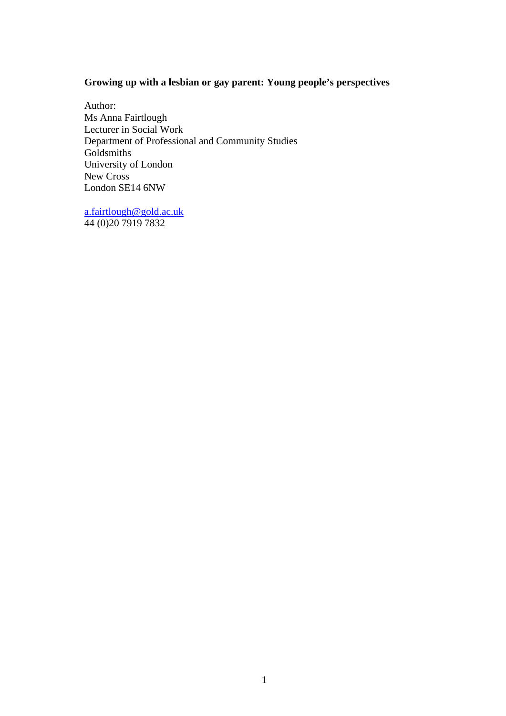# **Growing up with a lesbian or gay parent: Young people's perspectives**

Author: Ms Anna Fairtlough Lecturer in Social Work Department of Professional and Community Studies **Goldsmiths** University of London New Cross London SE14 6NW

a.fairtlough@gold.ac.uk 44 (0)20 7919 7832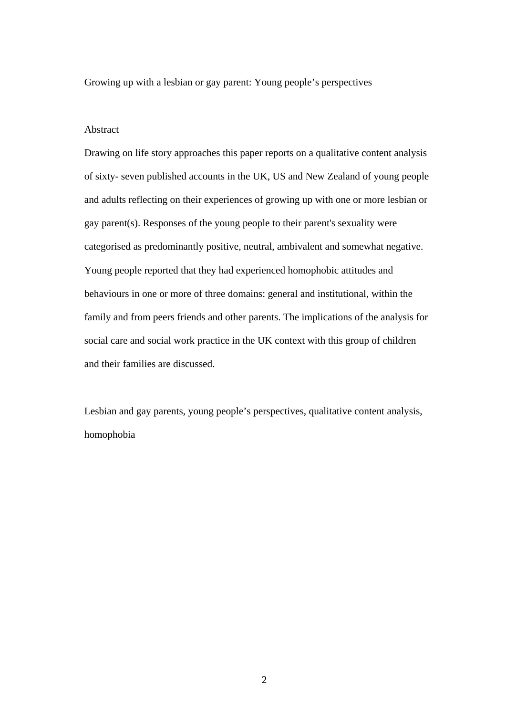Growing up with a lesbian or gay parent: Young people's perspectives

# Abstract

Drawing on life story approaches this paper reports on a qualitative content analysis of sixty- seven published accounts in the UK, US and New Zealand of young people and adults reflecting on their experiences of growing up with one or more lesbian or gay parent(s). Responses of the young people to their parent's sexuality were categorised as predominantly positive, neutral, ambivalent and somewhat negative. Young people reported that they had experienced homophobic attitudes and behaviours in one or more of three domains: general and institutional, within the family and from peers friends and other parents. The implications of the analysis for social care and social work practice in the UK context with this group of children and their families are discussed.

Lesbian and gay parents, young people's perspectives, qualitative content analysis, homophobia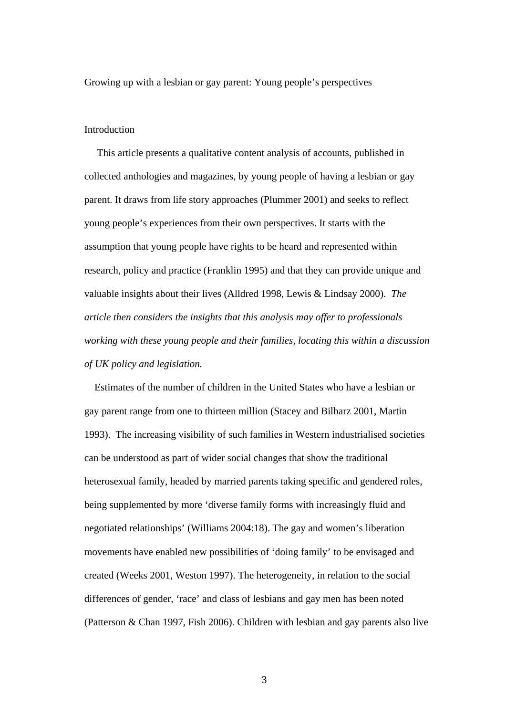Growing up with a lesbian or gay parent: Young people's perspectives

### **Introduction**

 This article presents a qualitative content analysis of accounts, published in collected anthologies and magazines, by young people of having a lesbian or gay parent. It draws from life story approaches (Plummer 2001) and seeks to reflect young people's experiences from their own perspectives. It starts with the assumption that young people have rights to be heard and represented within research, policy and practice (Franklin 1995) and that they can provide unique and valuable insights about their lives (Alldred 1998, Lewis & Lindsay 2000). *The article then considers the insights that this analysis may offer to professionals working with these young people and their families, locating this within a discussion of UK policy and legislation.* 

 Estimates of the number of children in the United States who have a lesbian or gay parent range from one to thirteen million (Stacey and Bilbarz 2001, Martin 1993). The increasing visibility of such families in Western industrialised societies can be understood as part of wider social changes that show the traditional heterosexual family, headed by married parents taking specific and gendered roles, being supplemented by more 'diverse family forms with increasingly fluid and negotiated relationships' (Williams 2004:18). The gay and women's liberation movements have enabled new possibilities of 'doing family' to be envisaged and created (Weeks 2001, Weston 1997). The heterogeneity, in relation to the social differences of gender, 'race' and class of lesbians and gay men has been noted (Patterson & Chan 1997, Fish 2006). Children with lesbian and gay parents also live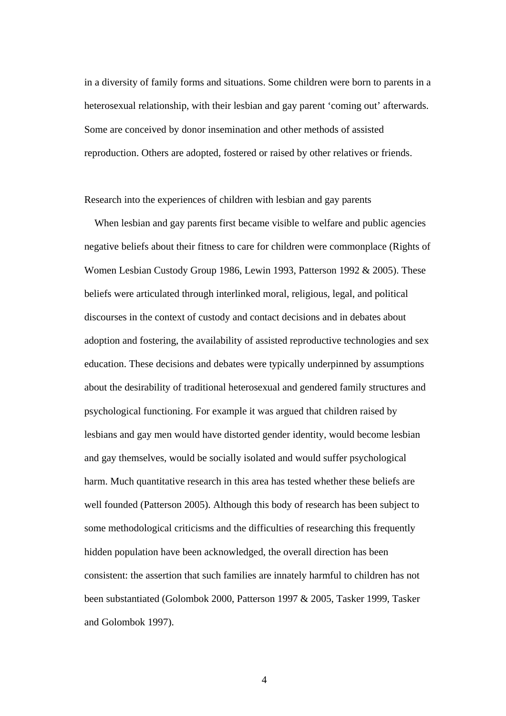in a diversity of family forms and situations. Some children were born to parents in a heterosexual relationship, with their lesbian and gay parent 'coming out' afterwards. Some are conceived by donor insemination and other methods of assisted reproduction. Others are adopted, fostered or raised by other relatives or friends.

Research into the experiences of children with lesbian and gay parents

 When lesbian and gay parents first became visible to welfare and public agencies negative beliefs about their fitness to care for children were commonplace (Rights of Women Lesbian Custody Group 1986, Lewin 1993, Patterson 1992 & 2005). These beliefs were articulated through interlinked moral, religious, legal, and political discourses in the context of custody and contact decisions and in debates about adoption and fostering, the availability of assisted reproductive technologies and sex education. These decisions and debates were typically underpinned by assumptions about the desirability of traditional heterosexual and gendered family structures and psychological functioning. For example it was argued that children raised by lesbians and gay men would have distorted gender identity, would become lesbian and gay themselves, would be socially isolated and would suffer psychological harm. Much quantitative research in this area has tested whether these beliefs are well founded (Patterson 2005). Although this body of research has been subject to some methodological criticisms and the difficulties of researching this frequently hidden population have been acknowledged, the overall direction has been consistent: the assertion that such families are innately harmful to children has not been substantiated (Golombok 2000, Patterson 1997 & 2005, Tasker 1999, Tasker and Golombok 1997).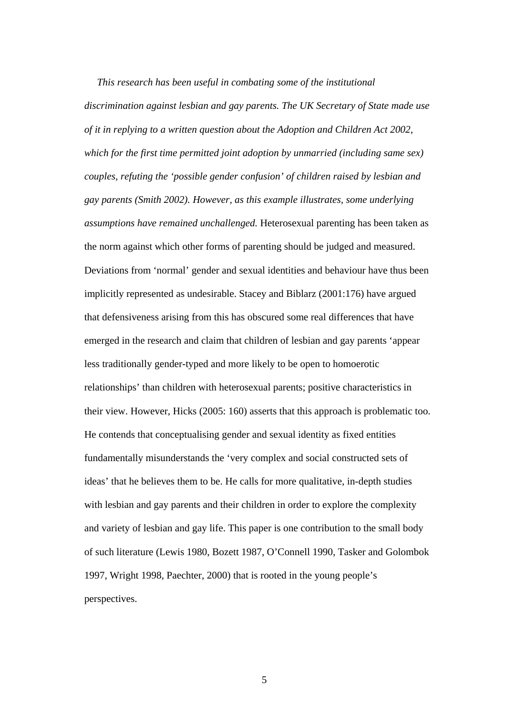*This research has been useful in combating some of the institutional discrimination against lesbian and gay parents. The UK Secretary of State made use of it in replying to a written question about the Adoption and Children Act 2002, which for the first time permitted joint adoption by unmarried (including same sex) couples, refuting the 'possible gender confusion' of children raised by lesbian and gay parents (Smith 2002). However, as this example illustrates, some underlying assumptions have remained unchallenged.* Heterosexual parenting has been taken as the norm against which other forms of parenting should be judged and measured. Deviations from 'normal' gender and sexual identities and behaviour have thus been implicitly represented as undesirable. Stacey and Biblarz (2001:176) have argued that defensiveness arising from this has obscured some real differences that have emerged in the research and claim that children of lesbian and gay parents 'appear less traditionally gender-typed and more likely to be open to homoerotic relationships' than children with heterosexual parents; positive characteristics in their view. However, Hicks (2005: 160) asserts that this approach is problematic too. He contends that conceptualising gender and sexual identity as fixed entities fundamentally misunderstands the 'very complex and social constructed sets of ideas' that he believes them to be. He calls for more qualitative, in-depth studies with lesbian and gay parents and their children in order to explore the complexity and variety of lesbian and gay life. This paper is one contribution to the small body of such literature (Lewis 1980, Bozett 1987, O'Connell 1990, Tasker and Golombok 1997, Wright 1998, Paechter, 2000) that is rooted in the young people's perspectives.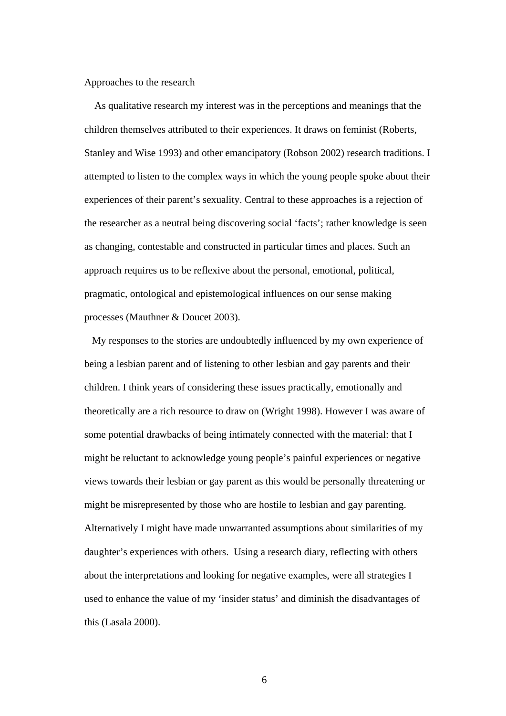Approaches to the research

 As qualitative research my interest was in the perceptions and meanings that the children themselves attributed to their experiences. It draws on feminist (Roberts, Stanley and Wise 1993) and other emancipatory (Robson 2002) research traditions. I attempted to listen to the complex ways in which the young people spoke about their experiences of their parent's sexuality. Central to these approaches is a rejection of the researcher as a neutral being discovering social 'facts'; rather knowledge is seen as changing, contestable and constructed in particular times and places. Such an approach requires us to be reflexive about the personal, emotional, political, pragmatic, ontological and epistemological influences on our sense making processes (Mauthner & Doucet 2003).

 My responses to the stories are undoubtedly influenced by my own experience of being a lesbian parent and of listening to other lesbian and gay parents and their children. I think years of considering these issues practically, emotionally and theoretically are a rich resource to draw on (Wright 1998). However I was aware of some potential drawbacks of being intimately connected with the material: that I might be reluctant to acknowledge young people's painful experiences or negative views towards their lesbian or gay parent as this would be personally threatening or might be misrepresented by those who are hostile to lesbian and gay parenting. Alternatively I might have made unwarranted assumptions about similarities of my daughter's experiences with others. Using a research diary, reflecting with others about the interpretations and looking for negative examples, were all strategies I used to enhance the value of my 'insider status' and diminish the disadvantages of this (Lasala 2000).

 $\sim$  6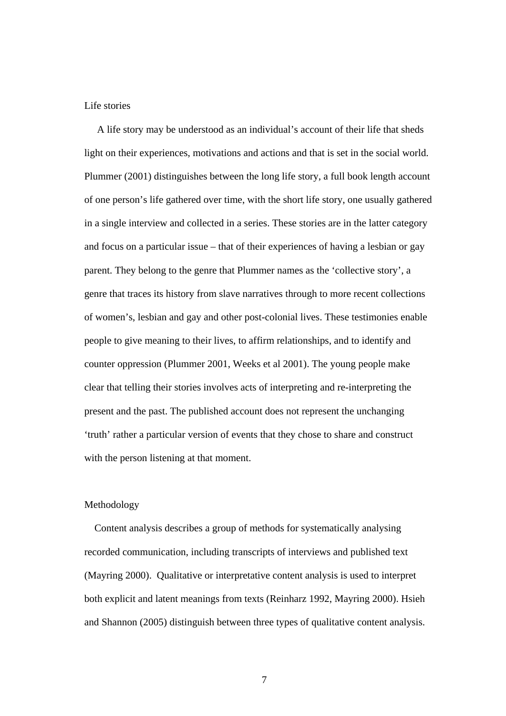### Life stories

 A life story may be understood as an individual's account of their life that sheds light on their experiences, motivations and actions and that is set in the social world. Plummer (2001) distinguishes between the long life story, a full book length account of one person's life gathered over time, with the short life story, one usually gathered in a single interview and collected in a series. These stories are in the latter category and focus on a particular issue – that of their experiences of having a lesbian or gay parent. They belong to the genre that Plummer names as the 'collective story', a genre that traces its history from slave narratives through to more recent collections of women's, lesbian and gay and other post-colonial lives. These testimonies enable people to give meaning to their lives, to affirm relationships, and to identify and counter oppression (Plummer 2001, Weeks et al 2001). The young people make clear that telling their stories involves acts of interpreting and re-interpreting the present and the past. The published account does not represent the unchanging 'truth' rather a particular version of events that they chose to share and construct with the person listening at that moment.

#### Methodology

 Content analysis describes a group of methods for systematically analysing recorded communication, including transcripts of interviews and published text (Mayring 2000). Qualitative or interpretative content analysis is used to interpret both explicit and latent meanings from texts (Reinharz 1992, Mayring 2000). Hsieh and Shannon (2005) distinguish between three types of qualitative content analysis.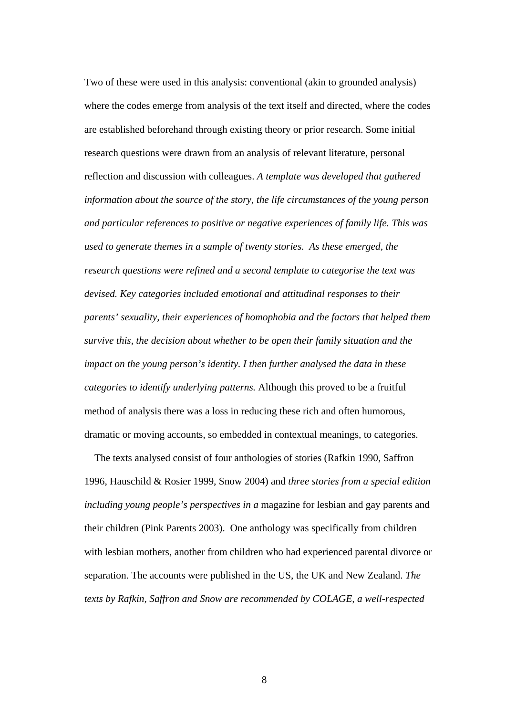Two of these were used in this analysis: conventional (akin to grounded analysis) where the codes emerge from analysis of the text itself and directed, where the codes are established beforehand through existing theory or prior research. Some initial research questions were drawn from an analysis of relevant literature, personal reflection and discussion with colleagues. *A template was developed that gathered information about the source of the story, the life circumstances of the young person and particular references to positive or negative experiences of family life. This was used to generate themes in a sample of twenty stories. As these emerged, the research questions were refined and a second template to categorise the text was devised. Key categories included emotional and attitudinal responses to their parents' sexuality, their experiences of homophobia and the factors that helped them survive this, the decision about whether to be open their family situation and the impact on the young person's identity. I then further analysed the data in these categories to identify underlying patterns.* Although this proved to be a fruitful method of analysis there was a loss in reducing these rich and often humorous, dramatic or moving accounts, so embedded in contextual meanings, to categories.

 The texts analysed consist of four anthologies of stories (Rafkin 1990, Saffron 1996, Hauschild & Rosier 1999, Snow 2004) and *three stories from a special edition including young people's perspectives in a magazine for lesbian and gay parents and* their children (Pink Parents 2003). One anthology was specifically from children with lesbian mothers, another from children who had experienced parental divorce or separation. The accounts were published in the US, the UK and New Zealand. *The texts by Rafkin, Saffron and Snow are recommended by COLAGE, a well-respected*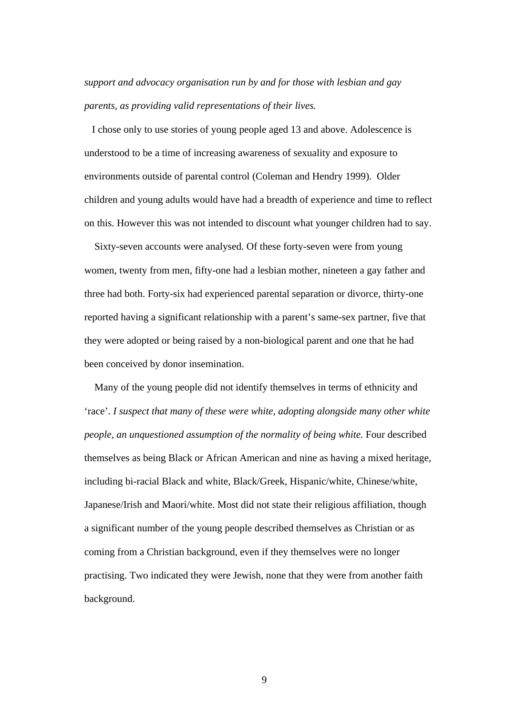*support and advocacy organisation run by and for those with lesbian and gay parents, as providing valid representations of their lives.*

 I chose only to use stories of young people aged 13 and above. Adolescence is understood to be a time of increasing awareness of sexuality and exposure to environments outside of parental control (Coleman and Hendry 1999). Older children and young adults would have had a breadth of experience and time to reflect on this. However this was not intended to discount what younger children had to say.

 Sixty-seven accounts were analysed. Of these forty-seven were from young women, twenty from men, fifty-one had a lesbian mother, nineteen a gay father and three had both. Forty-six had experienced parental separation or divorce, thirty-one reported having a significant relationship with a parent's same-sex partner, five that they were adopted or being raised by a non-biological parent and one that he had been conceived by donor insemination.

 Many of the young people did not identify themselves in terms of ethnicity and 'race'. *I suspect that many of these were white, adopting alongside many other white people, an unquestioned assumption of the normality of being white.* Four described themselves as being Black or African American and nine as having a mixed heritage, including bi-racial Black and white, Black/Greek, Hispanic/white, Chinese/white, Japanese/Irish and Maori/white. Most did not state their religious affiliation, though a significant number of the young people described themselves as Christian or as coming from a Christian background, even if they themselves were no longer practising. Two indicated they were Jewish, none that they were from another faith background.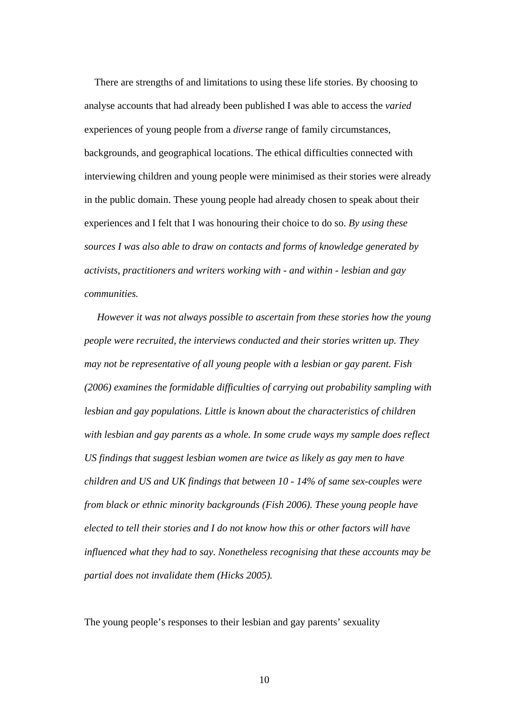There are strengths of and limitations to using these life stories. By choosing to analyse accounts that had already been published I was able to access the *varied* experiences of young people from a *diverse* range of family circumstances, backgrounds, and geographical locations. The ethical difficulties connected with interviewing children and young people were minimised as their stories were already in the public domain. These young people had already chosen to speak about their experiences and I felt that I was honouring their choice to do so. *By using these sources I was also able to draw on contacts and forms of knowledge generated by activists, practitioners and writers working with - and within - lesbian and gay communities.*

 *However it was not always possible to ascertain from these stories how the young people were recruited, the interviews conducted and their stories written up. They may not be representative of all young people with a lesbian or gay parent. Fish (2006) examines the formidable difficulties of carrying out probability sampling with*  lesbian and gay populations. Little is known about the characteristics of children *with lesbian and gay parents as a whole. In some crude ways my sample does reflect US findings that suggest lesbian women are twice as likely as gay men to have children and US and UK findings that between 10 - 14% of same sex-couples were from black or ethnic minority backgrounds (Fish 2006). These young people have elected to tell their stories and I do not know how this or other factors will have influenced what they had to say. Nonetheless recognising that these accounts may be partial does not invalidate them (Hicks 2005).* 

The young people's responses to their lesbian and gay parents' sexuality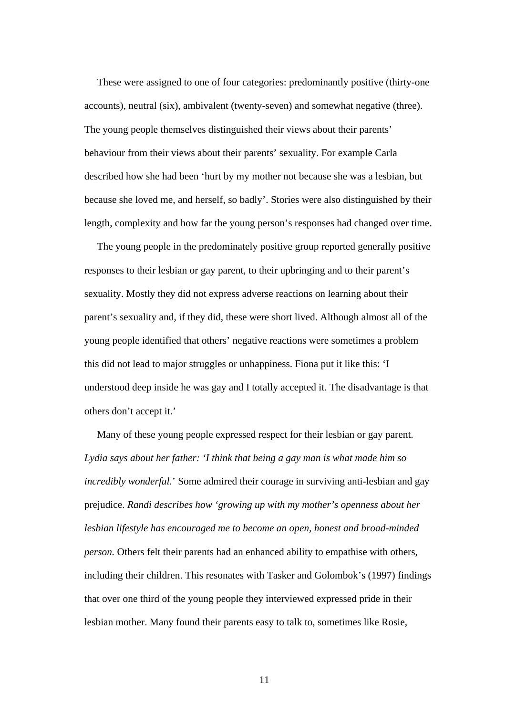These were assigned to one of four categories: predominantly positive (thirty-one accounts), neutral (six), ambivalent (twenty-seven) and somewhat negative (three). The young people themselves distinguished their views about their parents' behaviour from their views about their parents' sexuality. For example Carla described how she had been 'hurt by my mother not because she was a lesbian, but because she loved me, and herself, so badly'. Stories were also distinguished by their length, complexity and how far the young person's responses had changed over time.

 The young people in the predominately positive group reported generally positive responses to their lesbian or gay parent, to their upbringing and to their parent's sexuality. Mostly they did not express adverse reactions on learning about their parent's sexuality and, if they did, these were short lived. Although almost all of the young people identified that others' negative reactions were sometimes a problem this did not lead to major struggles or unhappiness. Fiona put it like this: 'I understood deep inside he was gay and I totally accepted it. The disadvantage is that others don't accept it.'

 Many of these young people expressed respect for their lesbian or gay parent. *Lydia says about her father: 'I think that being a gay man is what made him so incredibly wonderful.*' Some admired their courage in surviving anti-lesbian and gay prejudice. *Randi describes how 'growing up with my mother's openness about her lesbian lifestyle has encouraged me to become an open, honest and broad-minded person.* Others felt their parents had an enhanced ability to empathise with others, including their children. This resonates with Tasker and Golombok's (1997) findings that over one third of the young people they interviewed expressed pride in their lesbian mother. Many found their parents easy to talk to, sometimes like Rosie,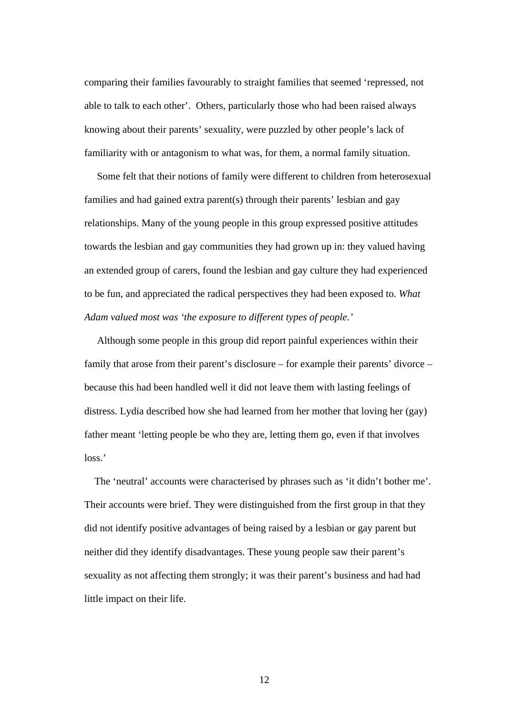comparing their families favourably to straight families that seemed 'repressed, not able to talk to each other'. Others, particularly those who had been raised always knowing about their parents' sexuality, were puzzled by other people's lack of familiarity with or antagonism to what was, for them, a normal family situation.

 Some felt that their notions of family were different to children from heterosexual families and had gained extra parent(s) through their parents' lesbian and gay relationships. Many of the young people in this group expressed positive attitudes towards the lesbian and gay communities they had grown up in: they valued having an extended group of carers, found the lesbian and gay culture they had experienced to be fun, and appreciated the radical perspectives they had been exposed to. *What Adam valued most was 'the exposure to different types of people.'* 

 Although some people in this group did report painful experiences within their family that arose from their parent's disclosure – for example their parents' divorce – because this had been handled well it did not leave them with lasting feelings of distress. Lydia described how she had learned from her mother that loving her (gay) father meant 'letting people be who they are, letting them go, even if that involves loss.'

 The 'neutral' accounts were characterised by phrases such as 'it didn't bother me'. Their accounts were brief. They were distinguished from the first group in that they did not identify positive advantages of being raised by a lesbian or gay parent but neither did they identify disadvantages. These young people saw their parent's sexuality as not affecting them strongly; it was their parent's business and had had little impact on their life.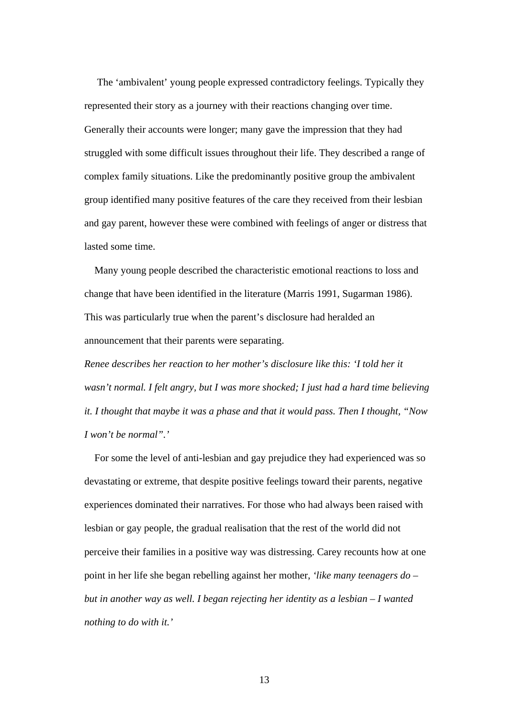The 'ambivalent' young people expressed contradictory feelings. Typically they represented their story as a journey with their reactions changing over time. Generally their accounts were longer; many gave the impression that they had struggled with some difficult issues throughout their life. They described a range of complex family situations. Like the predominantly positive group the ambivalent group identified many positive features of the care they received from their lesbian and gay parent, however these were combined with feelings of anger or distress that lasted some time.

 Many young people described the characteristic emotional reactions to loss and change that have been identified in the literature (Marris 1991, Sugarman 1986). This was particularly true when the parent's disclosure had heralded an announcement that their parents were separating.

*Renee describes her reaction to her mother's disclosure like this: 'I told her it wasn't normal. I felt angry, but I was more shocked; I just had a hard time believing it. I thought that maybe it was a phase and that it would pass. Then I thought, "Now I won't be normal".'*

 For some the level of anti-lesbian and gay prejudice they had experienced was so devastating or extreme, that despite positive feelings toward their parents, negative experiences dominated their narratives. For those who had always been raised with lesbian or gay people, the gradual realisation that the rest of the world did not perceive their families in a positive way was distressing. Carey recounts how at one point in her life she began rebelling against her mother, *'like many teenagers do – but in another way as well. I began rejecting her identity as a lesbian – I wanted nothing to do with it.'*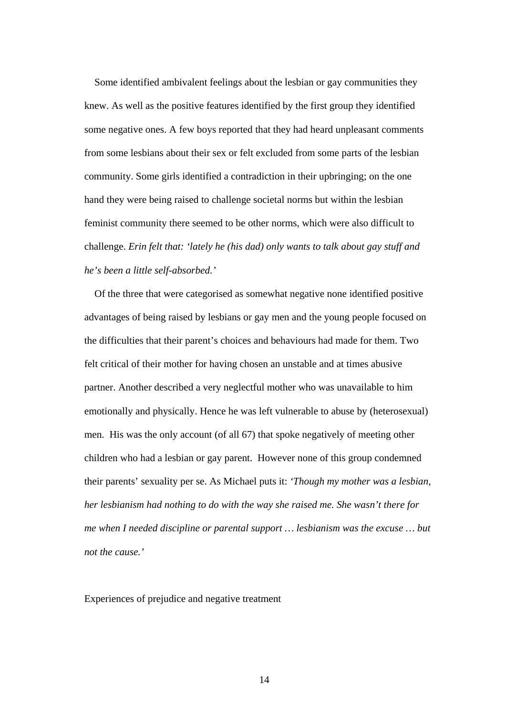Some identified ambivalent feelings about the lesbian or gay communities they knew. As well as the positive features identified by the first group they identified some negative ones. A few boys reported that they had heard unpleasant comments from some lesbians about their sex or felt excluded from some parts of the lesbian community. Some girls identified a contradiction in their upbringing; on the one hand they were being raised to challenge societal norms but within the lesbian feminist community there seemed to be other norms, which were also difficult to challenge. *Erin felt that: 'lately he (his dad) only wants to talk about gay stuff and he's been a little self-absorbed.'*

 Of the three that were categorised as somewhat negative none identified positive advantages of being raised by lesbians or gay men and the young people focused on the difficulties that their parent's choices and behaviours had made for them. Two felt critical of their mother for having chosen an unstable and at times abusive partner. Another described a very neglectful mother who was unavailable to him emotionally and physically. Hence he was left vulnerable to abuse by (heterosexual) men. His was the only account (of all 67) that spoke negatively of meeting other children who had a lesbian or gay parent. However none of this group condemned their parents' sexuality per se. As Michael puts it: *'Though my mother was a lesbian, her lesbianism had nothing to do with the way she raised me. She wasn't there for me when I needed discipline or parental support … lesbianism was the excuse … but not the cause.'*

Experiences of prejudice and negative treatment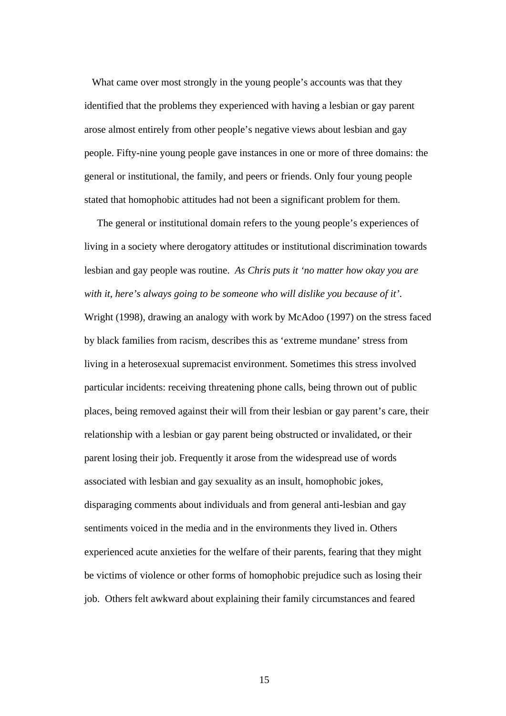What came over most strongly in the young people's accounts was that they identified that the problems they experienced with having a lesbian or gay parent arose almost entirely from other people's negative views about lesbian and gay people. Fifty-nine young people gave instances in one or more of three domains: the general or institutional, the family, and peers or friends. Only four young people stated that homophobic attitudes had not been a significant problem for them.

 The general or institutional domain refers to the young people's experiences of living in a society where derogatory attitudes or institutional discrimination towards lesbian and gay people was routine. *As Chris puts it 'no matter how okay you are with it, here's always going to be someone who will dislike you because of it'*. Wright (1998), drawing an analogy with work by McAdoo (1997) on the stress faced by black families from racism, describes this as 'extreme mundane' stress from living in a heterosexual supremacist environment. Sometimes this stress involved particular incidents: receiving threatening phone calls, being thrown out of public places, being removed against their will from their lesbian or gay parent's care, their relationship with a lesbian or gay parent being obstructed or invalidated, or their parent losing their job. Frequently it arose from the widespread use of words associated with lesbian and gay sexuality as an insult, homophobic jokes, disparaging comments about individuals and from general anti-lesbian and gay sentiments voiced in the media and in the environments they lived in. Others experienced acute anxieties for the welfare of their parents, fearing that they might be victims of violence or other forms of homophobic prejudice such as losing their job. Others felt awkward about explaining their family circumstances and feared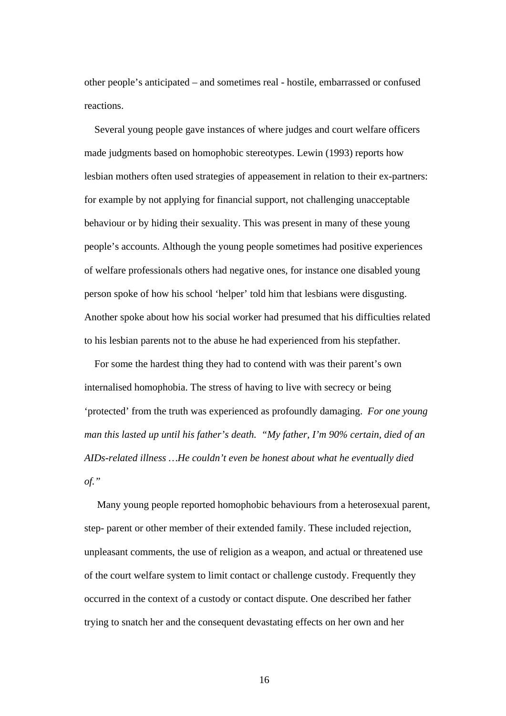other people's anticipated – and sometimes real - hostile, embarrassed or confused reactions.

 Several young people gave instances of where judges and court welfare officers made judgments based on homophobic stereotypes. Lewin (1993) reports how lesbian mothers often used strategies of appeasement in relation to their ex-partners: for example by not applying for financial support, not challenging unacceptable behaviour or by hiding their sexuality. This was present in many of these young people's accounts. Although the young people sometimes had positive experiences of welfare professionals others had negative ones, for instance one disabled young person spoke of how his school 'helper' told him that lesbians were disgusting. Another spoke about how his social worker had presumed that his difficulties related to his lesbian parents not to the abuse he had experienced from his stepfather.

 For some the hardest thing they had to contend with was their parent's own internalised homophobia. The stress of having to live with secrecy or being 'protected' from the truth was experienced as profoundly damaging. *For one young man this lasted up until his father's death. "My father, I'm 90% certain, died of an AIDs-related illness …He couldn't even be honest about what he eventually died of."*

 Many young people reported homophobic behaviours from a heterosexual parent, step- parent or other member of their extended family. These included rejection, unpleasant comments, the use of religion as a weapon, and actual or threatened use of the court welfare system to limit contact or challenge custody. Frequently they occurred in the context of a custody or contact dispute. One described her father trying to snatch her and the consequent devastating effects on her own and her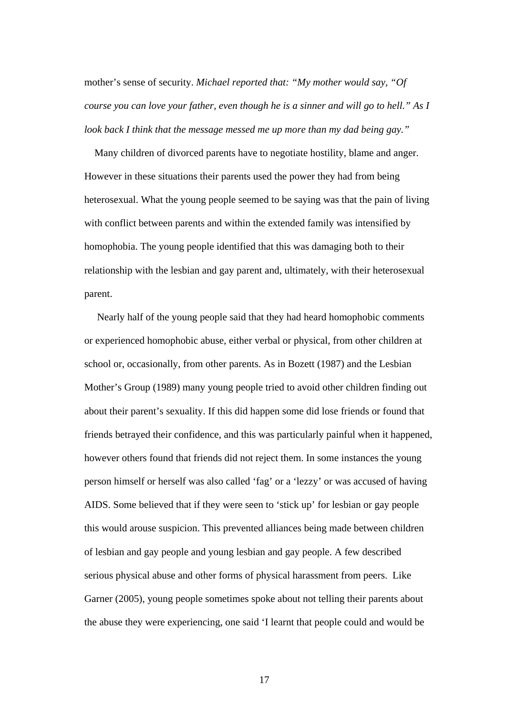mother's sense of security. *Michael reported that: "My mother would say, "Of course you can love your father, even though he is a sinner and will go to hell." As I look back I think that the message messed me up more than my dad being gay."* 

 Many children of divorced parents have to negotiate hostility, blame and anger. However in these situations their parents used the power they had from being heterosexual. What the young people seemed to be saying was that the pain of living with conflict between parents and within the extended family was intensified by homophobia. The young people identified that this was damaging both to their relationship with the lesbian and gay parent and, ultimately, with their heterosexual parent.

 Nearly half of the young people said that they had heard homophobic comments or experienced homophobic abuse, either verbal or physical, from other children at school or, occasionally, from other parents. As in Bozett (1987) and the Lesbian Mother's Group (1989) many young people tried to avoid other children finding out about their parent's sexuality. If this did happen some did lose friends or found that friends betrayed their confidence, and this was particularly painful when it happened, however others found that friends did not reject them. In some instances the young person himself or herself was also called 'fag' or a 'lezzy' or was accused of having AIDS. Some believed that if they were seen to 'stick up' for lesbian or gay people this would arouse suspicion. This prevented alliances being made between children of lesbian and gay people and young lesbian and gay people. A few described serious physical abuse and other forms of physical harassment from peers. Like Garner (2005), young people sometimes spoke about not telling their parents about the abuse they were experiencing, one said 'I learnt that people could and would be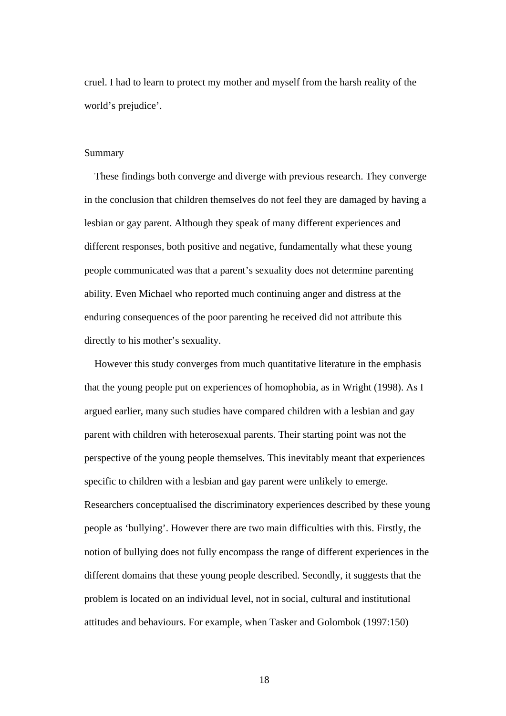cruel. I had to learn to protect my mother and myself from the harsh reality of the world's prejudice'.

# Summary

 These findings both converge and diverge with previous research. They converge in the conclusion that children themselves do not feel they are damaged by having a lesbian or gay parent. Although they speak of many different experiences and different responses, both positive and negative, fundamentally what these young people communicated was that a parent's sexuality does not determine parenting ability. Even Michael who reported much continuing anger and distress at the enduring consequences of the poor parenting he received did not attribute this directly to his mother's sexuality.

 However this study converges from much quantitative literature in the emphasis that the young people put on experiences of homophobia, as in Wright (1998). As I argued earlier, many such studies have compared children with a lesbian and gay parent with children with heterosexual parents. Their starting point was not the perspective of the young people themselves. This inevitably meant that experiences specific to children with a lesbian and gay parent were unlikely to emerge. Researchers conceptualised the discriminatory experiences described by these young people as 'bullying'. However there are two main difficulties with this. Firstly, the notion of bullying does not fully encompass the range of different experiences in the different domains that these young people described. Secondly, it suggests that the problem is located on an individual level, not in social, cultural and institutional attitudes and behaviours. For example, when Tasker and Golombok (1997:150)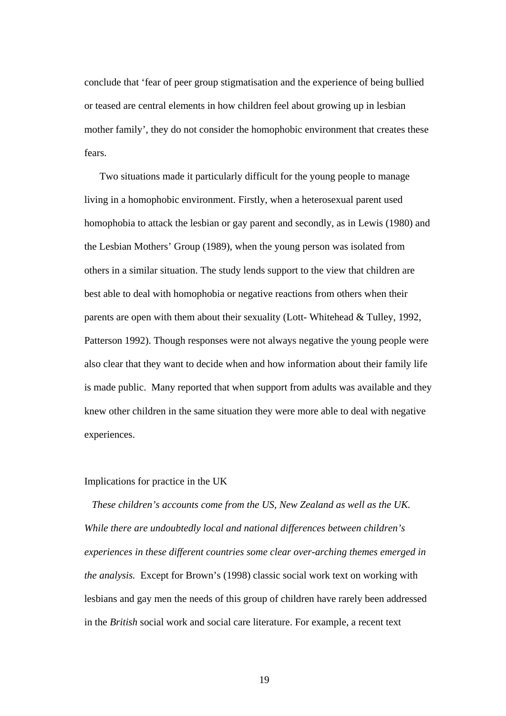conclude that 'fear of peer group stigmatisation and the experience of being bullied or teased are central elements in how children feel about growing up in lesbian mother family', they do not consider the homophobic environment that creates these fears.

 Two situations made it particularly difficult for the young people to manage living in a homophobic environment. Firstly, when a heterosexual parent used homophobia to attack the lesbian or gay parent and secondly, as in Lewis (1980) and the Lesbian Mothers' Group (1989), when the young person was isolated from others in a similar situation. The study lends support to the view that children are best able to deal with homophobia or negative reactions from others when their parents are open with them about their sexuality (Lott- Whitehead & Tulley, 1992, Patterson 1992). Though responses were not always negative the young people were also clear that they want to decide when and how information about their family life is made public. Many reported that when support from adults was available and they knew other children in the same situation they were more able to deal with negative experiences.

# Implications for practice in the UK

 *These children's accounts come from the US, New Zealand as well as the UK. While there are undoubtedly local and national differences between children's experiences in these different countries some clear over-arching themes emerged in the analysis.* Except for Brown's (1998) classic social work text on working with lesbians and gay men the needs of this group of children have rarely been addressed in the *British* social work and social care literature. For example, a recent text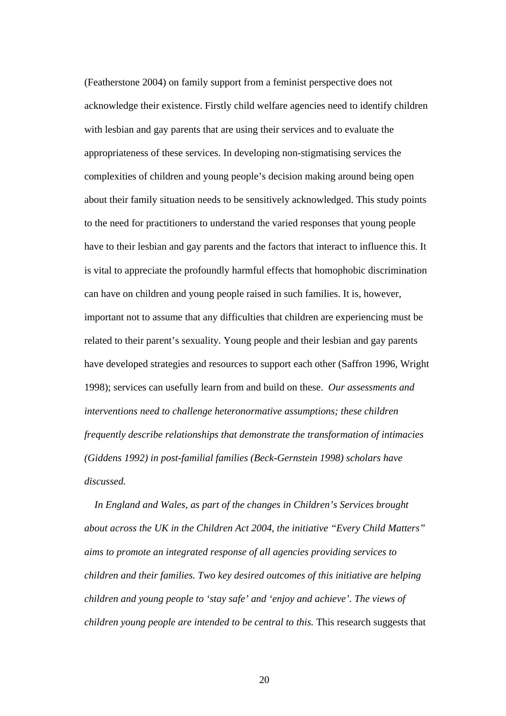(Featherstone 2004) on family support from a feminist perspective does not acknowledge their existence. Firstly child welfare agencies need to identify children with lesbian and gay parents that are using their services and to evaluate the appropriateness of these services. In developing non-stigmatising services the complexities of children and young people's decision making around being open about their family situation needs to be sensitively acknowledged. This study points to the need for practitioners to understand the varied responses that young people have to their lesbian and gay parents and the factors that interact to influence this. It is vital to appreciate the profoundly harmful effects that homophobic discrimination can have on children and young people raised in such families. It is, however, important not to assume that any difficulties that children are experiencing must be related to their parent's sexuality. Young people and their lesbian and gay parents have developed strategies and resources to support each other (Saffron 1996, Wright 1998); services can usefully learn from and build on these. *Our assessments and interventions need to challenge heteronormative assumptions; these children frequently describe relationships that demonstrate the transformation of intimacies (Giddens 1992) in post-familial families (Beck-Gernstein 1998) scholars have discussed.*

 *In England and Wales, as part of the changes in Children's Services brought about across the UK in the Children Act 2004, the initiative "Every Child Matters" aims to promote an integrated response of all agencies providing services to children and their families. Two key desired outcomes of this initiative are helping children and young people to 'stay safe' and 'enjoy and achieve'. The views of children young people are intended to be central to this.* This research suggests that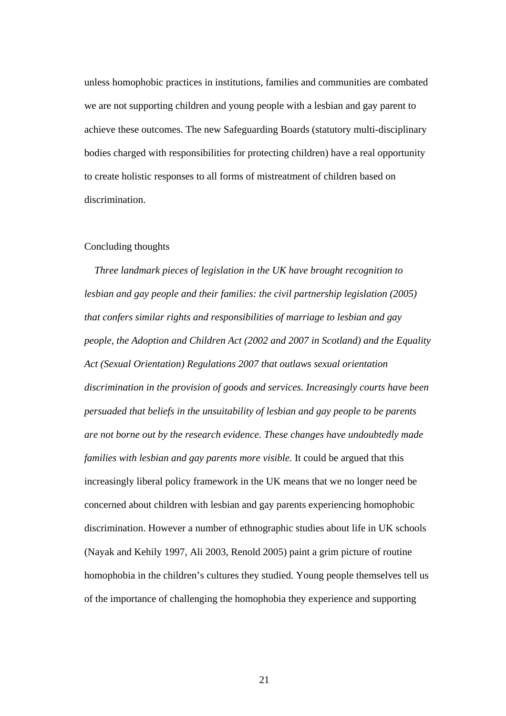unless homophobic practices in institutions, families and communities are combated we are not supporting children and young people with a lesbian and gay parent to achieve these outcomes. The new Safeguarding Boards (statutory multi-disciplinary bodies charged with responsibilities for protecting children) have a real opportunity to create holistic responses to all forms of mistreatment of children based on discrimination.

#### Concluding thoughts

 *Three landmark pieces of legislation in the UK have brought recognition to lesbian and gay people and their families: the civil partnership legislation (2005) that confers similar rights and responsibilities of marriage to lesbian and gay people, the Adoption and Children Act (2002 and 2007 in Scotland) and the Equality Act (Sexual Orientation) Regulations 2007 that outlaws sexual orientation discrimination in the provision of goods and services. Increasingly courts have been persuaded that beliefs in the unsuitability of lesbian and gay people to be parents are not borne out by the research evidence. These changes have undoubtedly made families with lesbian and gay parents more visible.* It could be argued that this increasingly liberal policy framework in the UK means that we no longer need be concerned about children with lesbian and gay parents experiencing homophobic discrimination. However a number of ethnographic studies about life in UK schools (Nayak and Kehily 1997, Ali 2003, Renold 2005) paint a grim picture of routine homophobia in the children's cultures they studied. Young people themselves tell us of the importance of challenging the homophobia they experience and supporting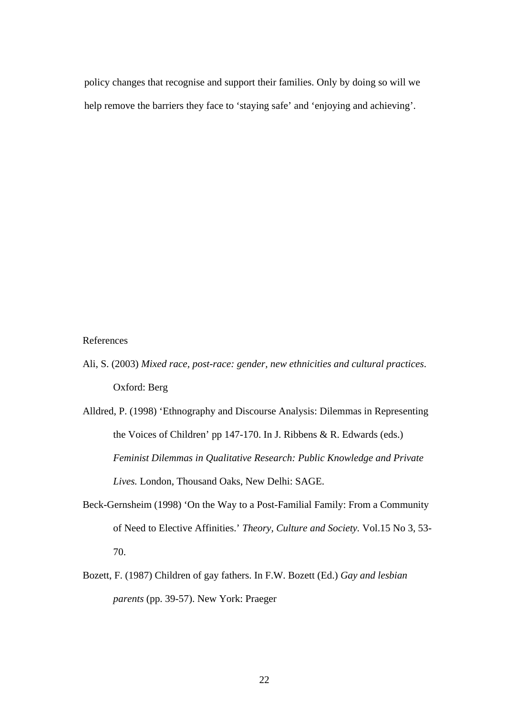policy changes that recognise and support their families. Only by doing so will we help remove the barriers they face to 'staying safe' and 'enjoying and achieving'.

# References

Ali, S. (2003) *Mixed race, post-race: gender, new ethnicities and cultural practices*. Oxford: Berg

Alldred, P. (1998) 'Ethnography and Discourse Analysis: Dilemmas in Representing the Voices of Children' pp 147-170. In J. Ribbens & R. Edwards (eds.) *Feminist Dilemmas in Qualitative Research: Public Knowledge and Private Lives.* London, Thousand Oaks, New Delhi: SAGE.

- Beck-Gernsheim (1998) 'On the Way to a Post-Familial Family: From a Community of Need to Elective Affinities.' *Theory, Culture and Society.* Vol.15 No 3, 53- 70.
- Bozett, F. (1987) Children of gay fathers. In F.W. Bozett (Ed.) *Gay and lesbian parents* (pp. 39-57). New York: Praeger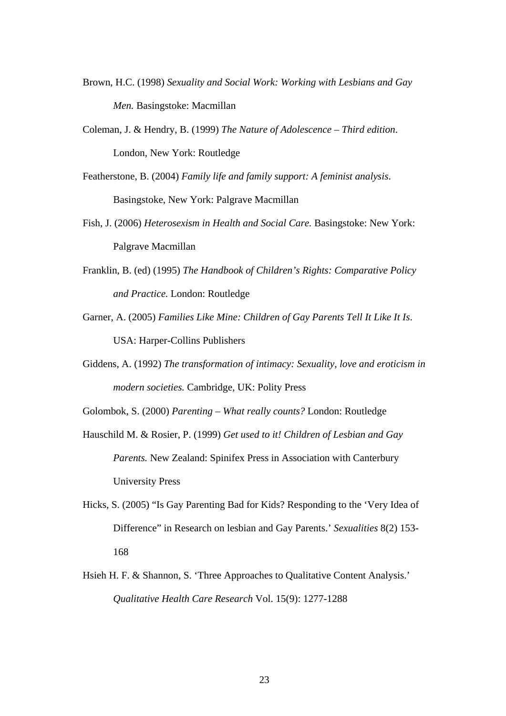- Brown, H.C. (1998) *Sexuality and Social Work: Working with Lesbians and Gay Men.* Basingstoke: Macmillan
- Coleman, J. & Hendry, B. (1999) *The Nature of Adolescence Third edition*. London, New York: Routledge
- Featherstone, B. (2004) *Family life and family support: A feminist analysis*. Basingstoke, New York: Palgrave Macmillan
- Fish, J. (2006) *Heterosexism in Health and Social Care.* Basingstoke: New York: Palgrave Macmillan
- Franklin, B. (ed) (1995) *The Handbook of Children's Rights: Comparative Policy and Practice.* London: Routledge
- Garner, A. (2005) *Families Like Mine: Children of Gay Parents Tell It Like It Is*. USA: Harper-Collins Publishers
- Giddens, A. (1992) *The transformation of intimacy: Sexuality, love and eroticism in modern societies.* Cambridge, UK: Polity Press

Golombok, S. (2000) *Parenting – What really counts?* London: Routledge

- Hauschild M. & Rosier, P. (1999) *Get used to it! Children of Lesbian and Gay Parents.* New Zealand: Spinifex Press in Association with Canterbury University Press
- Hicks, S. (2005) "Is Gay Parenting Bad for Kids? Responding to the 'Very Idea of Difference" in Research on lesbian and Gay Parents.' *Sexualities* 8(2) 153- 168
- Hsieh H. F. & Shannon, S. 'Three Approaches to Qualitative Content Analysis.' *Qualitative Health Care Research* Vol. 15(9): 1277-1288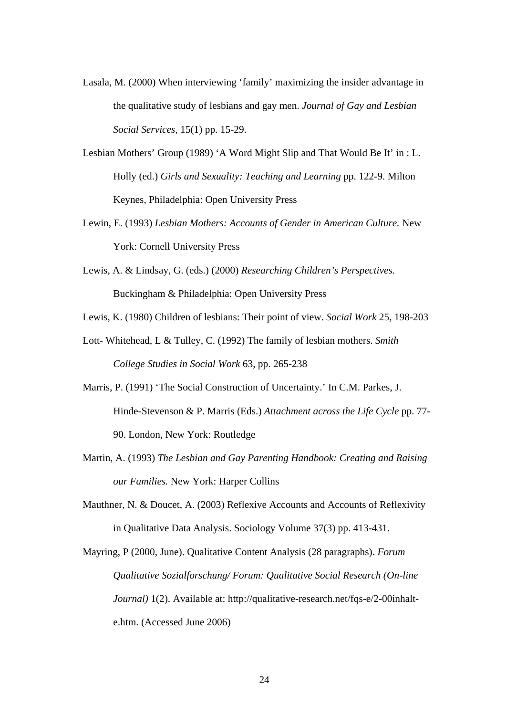- Lasala, M. (2000) When interviewing 'family' maximizing the insider advantage in the qualitative study of lesbians and gay men. *Journal of Gay and Lesbian Social Services*, 15(1) pp. 15-29.
- Lesbian Mothers' Group (1989) 'A Word Might Slip and That Would Be It' in : L. Holly (ed.) *Girls and Sexuality: Teaching and Learning* pp. 122-9. Milton Keynes, Philadelphia: Open University Press
- Lewin, E. (1993) *Lesbian Mothers: Accounts of Gender in American Culture.* New York: Cornell University Press
- Lewis, A. & Lindsay, G. (eds.) (2000) *Researching Children's Perspectives.* Buckingham & Philadelphia: Open University Press

Lewis, K. (1980) Children of lesbians: Their point of view. *Social Work* 25, 198-203

- Lott- Whitehead, L & Tulley, C. (1992) The family of lesbian mothers. *Smith College Studies in Social Work* 63, pp. 265-238
- Marris, P. (1991) 'The Social Construction of Uncertainty.' In C.M. Parkes, J. Hinde-Stevenson & P. Marris (Eds.) *Attachment across the Life Cycle* pp. 77- 90. London, New York: Routledge
- Martin, A. (1993) *The Lesbian and Gay Parenting Handbook: Creating and Raising our Families.* New York: Harper Collins
- Mauthner, N. & Doucet, A. (2003) Reflexive Accounts and Accounts of Reflexivity in Qualitative Data Analysis. Sociology Volume 37(3) pp. 413-431.

Mayring, P (2000, June). Qualitative Content Analysis (28 paragraphs). *Forum Qualitative Sozialforschung/ Forum: Qualitative Social Research (On-line Journal*) 1(2). Available at: http://qualitative-research.net/fqs-e/2-00inhalte.htm. (Accessed June 2006)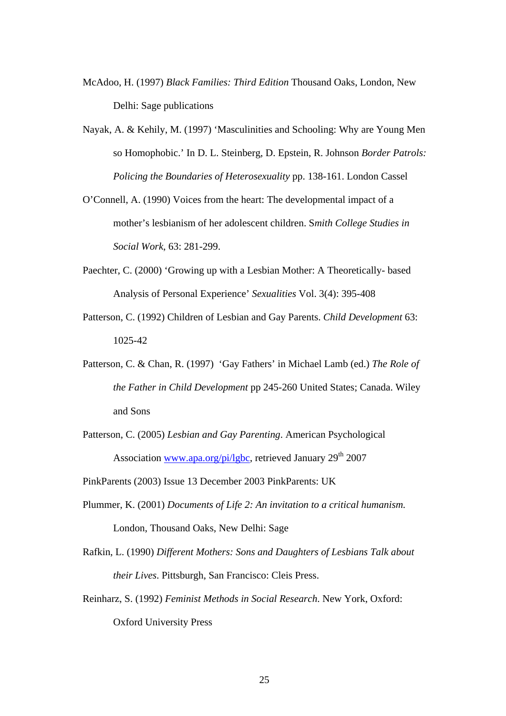- McAdoo, H. (1997) *Black Families: Third Edition* Thousand Oaks, London, New Delhi: Sage publications
- Nayak, A. & Kehily, M. (1997) 'Masculinities and Schooling: Why are Young Men so Homophobic.' In D. L. Steinberg, D. Epstein, R. Johnson *Border Patrols: Policing the Boundaries of Heterosexuality* pp. 138-161. London Cassel
- O'Connell, A. (1990) Voices from the heart: The developmental impact of a mother's lesbianism of her adolescent children. S*mith College Studies in Social Work*, 63: 281-299.
- Paechter, C. (2000) 'Growing up with a Lesbian Mother: A Theoretically- based Analysis of Personal Experience' *Sexualities* Vol. 3(4): 395-408
- Patterson, C. (1992) Children of Lesbian and Gay Parents. *Child Development* 63: 1025-42
- Patterson, C. & Chan, R. (1997) 'Gay Fathers' in Michael Lamb (ed.) *The Role of the Father in Child Development* pp 245-260 United States; Canada. Wiley and Sons
- Patterson, C. (2005) *Lesbian and Gay Parenting*. American Psychological Association www.apa.org/pi/lgbc, retrieved January  $29<sup>th</sup> 2007$
- PinkParents (2003) Issue 13 December 2003 PinkParents: UK
- Plummer, K. (2001) *Documents of Life 2: An invitation to a critical humanism.* London, Thousand Oaks, New Delhi: Sage
- Rafkin, L. (1990) *Different Mothers: Sons and Daughters of Lesbians Talk about their Lives*. Pittsburgh, San Francisco: Cleis Press.
- Reinharz, S. (1992) *Feminist Methods in Social Research*. New York, Oxford: Oxford University Press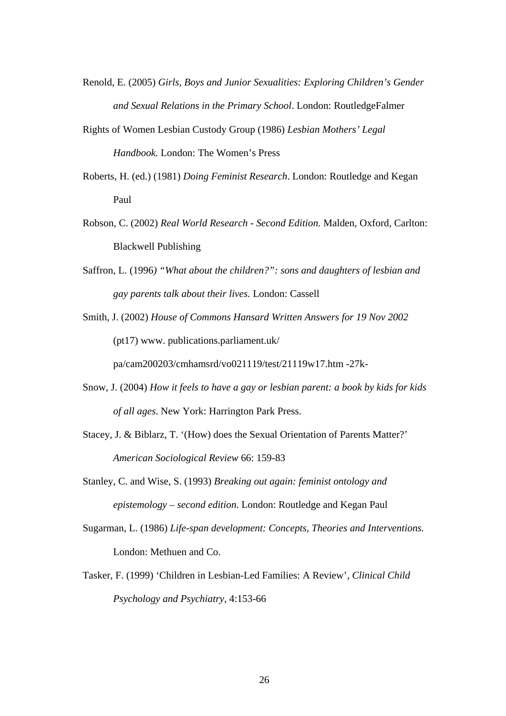- Renold, E. (2005) *Girls, Boys and Junior Sexualities: Exploring Children's Gender and Sexual Relations in the Primary School*. London: RoutledgeFalmer
- Rights of Women Lesbian Custody Group (1986) *Lesbian Mothers' Legal Handbook.* London: The Women's Press
- Roberts, H. (ed.) (1981) *Doing Feminist Research*. London: Routledge and Kegan Paul
- Robson, C. (2002) *Real World Research Second Edition.* Malden, Oxford, Carlton: Blackwell Publishing
- Saffron, L. (1996*) "What about the children?": sons and daughters of lesbian and gay parents talk about their lives.* London: Cassell

Smith, J. (2002) *House of Commons Hansard Written Answers for 19 Nov 2002* (pt17) www. publications.parliament.uk/

pa/cam200203/cmhamsrd/vo021119/test/21119w17.htm -27k-

- Snow, J. (2004) *How it feels to have a gay or lesbian parent: a book by kids for kids of all ages*. New York: Harrington Park Press.
- Stacey, J. & Biblarz, T. '(How) does the Sexual Orientation of Parents Matter?' *American Sociological Review* 66: 159-83
- Stanley, C. and Wise, S. (1993) *Breaking out again: feminist ontology and epistemology – second edition*. London: Routledge and Kegan Paul
- Sugarman, L. (1986) *Life-span development: Concepts, Theories and Interventions.* London: Methuen and Co.
- Tasker, F. (1999) 'Children in Lesbian-Led Families: A Review', *Clinical Child Psychology and Psychiatry*, 4:153-66